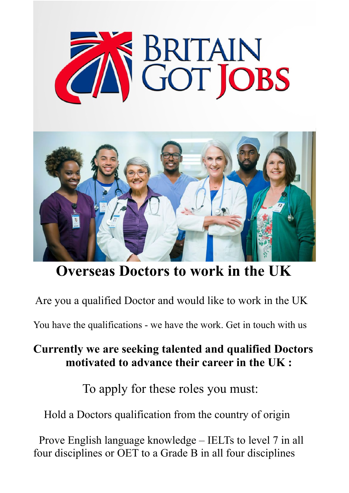



## **Overseas Doctors to work in the UK**

Are you a qualified Doctor and would like to work in the UK

You have the qualifications - we have the work. Get in touch with us

## **Currently we are seeking talented and qualified Doctors motivated to advance their career in the UK :**

To apply for these roles you must:

Hold a Doctors qualification from the country of origin

 Prove English language knowledge – IELTs to level 7 in all four disciplines or OET to a Grade B in all four disciplines